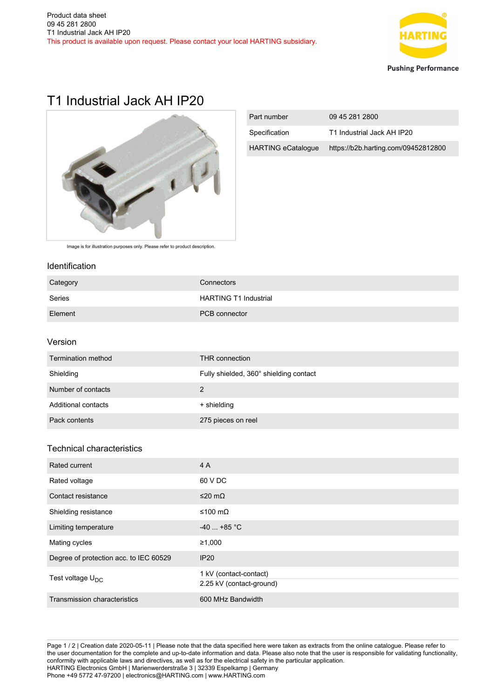

# T1 Industrial Jack AH IP20



| Part number               | 09 45 281 2800                      |
|---------------------------|-------------------------------------|
| Specification             | T1 Industrial Jack AH IP20          |
| <b>HARTING eCatalogue</b> | https://b2b.harting.com/09452812800 |

Image is for illustration purposes only. Please refer to product description.

#### Identification

| Category | Connectors                   |
|----------|------------------------------|
| Series   | <b>HARTING T1 Industrial</b> |
| Element  | PCB connector                |

## Version

| Termination method  | THR connection                         |
|---------------------|----------------------------------------|
| Shielding           | Fully shielded, 360° shielding contact |
| Number of contacts  | $\mathcal{P}$                          |
| Additional contacts | + shielding                            |
| Pack contents       | 275 pieces on reel                     |

## Technical characteristics

| Rated current                          | 4 A                                                |
|----------------------------------------|----------------------------------------------------|
| Rated voltage                          | 60 V DC                                            |
| Contact resistance                     | $≤20$ mΩ                                           |
| Shielding resistance                   | ≤100 mΩ                                            |
| Limiting temperature                   | $-40$ +85 °C                                       |
| Mating cycles                          | ≥1,000                                             |
| Degree of protection acc. to IEC 60529 | <b>IP20</b>                                        |
| Test voltage $U_{\text{DC}}$           | 1 kV (contact-contact)<br>2.25 kV (contact-ground) |
| Transmission characteristics           | 600 MHz Bandwidth                                  |

Page 1 / 2 | Creation date 2020-05-11 | Please note that the data specified here were taken as extracts from the online catalogue. Please refer to the user documentation for the complete and up-to-date information and data. Please also note that the user is responsible for validating functionality, conformity with applicable laws and directives, as well as for the electrical safety in the particular application. HARTING Electronics GmbH | Marienwerderstraße 3 | 32339 Espelkamp | Germany Phone +49 5772 47-97200 | electronics@HARTING.com | www.HARTING.com